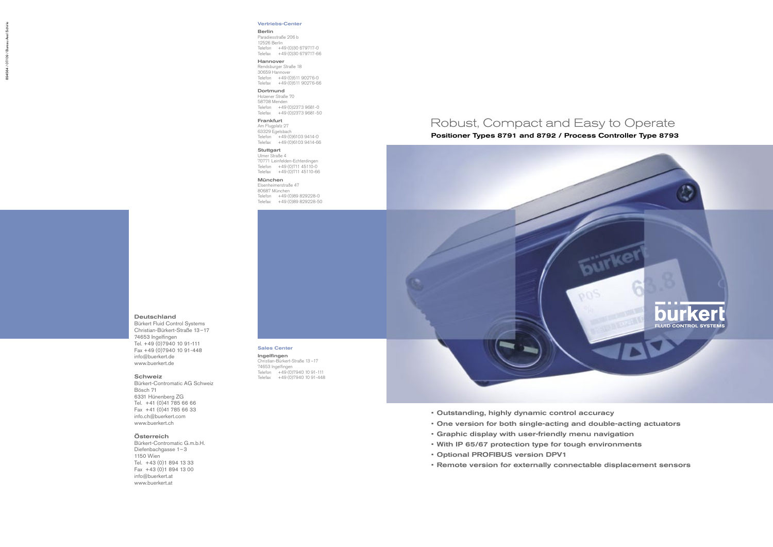## Robust, Compact and Easy to Operate

## • Outstanding, highly dynamic control accuracy

- One version for both single-acting and double-acting actuators
- Graphic display with user-friendly menu navigation
- With IP 65/67 protection type for tough environments
- Optional PROFIBUS version DPV1
- Remote version for externally connectable displacement sensors

# Positioner Types 8791 and 8792 / Process Controller Type 8793



#### Deutschland

Ingelfingen Christian-Bürkert-Straße 13 –17 74653 Ingelfingen Telefon +49 (0)7940 10 91-111 Telefax +49 (0) 7940 10 91-448

Bürkert Fluid Control Systems Christian-Bürkert-Straße 13–17 74653 Ingelfingen Tel. +49 (0)7940 10 91-111 Fax +49 (0)7940 10 91-448 info@buerkert.de www.buerkert.de

Paradiesstraße 206 b 12526 Berlin Telefon +49 (0)30 679717-0 Telefax +49 (0)30 679717-66

#### Schweiz

58708 Menden Telefon +49 (0)2373 9681-0 Telefax +49 (0) 2373 9681-50

Bürkert-Contromatic AG Schweiz Bösch 71 6331 Hünenberg ZG Tel. +41 (0)41 785 66 66 Fax +41 (0)41 785 66 33 info.ch@buerkert.com www.buerkert.ch

Stuttgart Ulmer Straße 4 70771 Leinfelden-Echterdingen Telefon +49 (0)711 45110-0 Telefax +49 (0)711 45110-66

#### Österreich

München Elsenheimerstraße 47 80687 München Telefon +49 (0)89 829228-0 Telefax +49 (0)89 829228-50

Bürkert-Contromatic G.m.b.H. Diefenbachgasse 1–3 1150 Wien Tel. +43 (0)1 894 13 33 Fax +43 (0)1 894 13 00 info@buerkert.at www.buerkert.at

#### Sales Center

#### Vertriebs-Center

#### Berlin

Hannover Rendsburger Straße 18 30659 Hannover Telefon +49 (0)511 90276-0

Telefax +49 (0)511 90276-66 Dortmund Holzener Straße 70

Frankfurt Am Flugplatz 27 63329 Egelsbach Telefon +49 (0)6103 9414-0 Telefax +49 (0)6103 9414-66